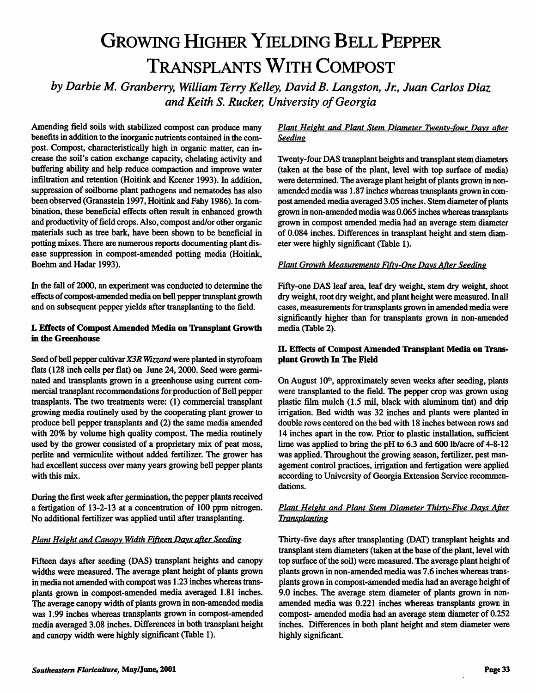# GROWING HIGHER YIELDING BELL PEPPER Transplants With Compost

*by Darbie M. Granberry, William Terry Kelley, David B. Langston, Jr., Juan Carlos Diaz and Keith S. Rucker, University ofGeorgia*

Amending field soils with stabilized compost can produce many benefits in addition to the inorganic nutrients contained in the com post. Compost, characteristically high in organic matter, can in crease the soil's cation exchange capacity, chelating activity and buffering ability and help reduce compaction and improve water infiltration and retention (Hoitink and Keener 1993). In addition, suppression of soilborne plant pathogens and nematodes has also been observed (Granastein 1997, Hoitink and Fahy 1986). In com bination, these beneficial effects often result in enhanced growth and productivity of field crops. Also, compost and/or other organic materials such as tree bark, have been shown to be beneficial in potting mixes. There are numerous reports documenting plant dis ease suppression in compost-amended potting media (Hoitink, Boehm and Hadar 1993).

In the fall of 2000, an experiment was conducted to determine the effects of compost-amended media on bell pepper transplant growth and on subsequent pepper yields after transplanting to the field.

#### *I. Effects of Compost Amended Media on Transplant Growth in the Greenhouse*

Seed of bell pepper cultivar X3R Wizzard were planted in styrofoam flats (128 inch cells per flat) on June 24,2000. Seed were germi nated and transplants grown in a greenhouse using current com mercial transplant recommendations for production of Bell pepper transplants. The two treatments were: (1) commercial transplant growing media routinely used by the cooperating plant grower to produce bell pepper transplants and (2) the same media amended with 20% by volume high quality compost. The media routinely used by the grower consisted of a proprietary mix of peat moss, perlite and vermiculite without added fertilizer. The grower has had excellent success over many years growing bell pepper plants with this mix.

During the first week after germination, the pepper plants received a fertigation of 13-2-13 at a concentration of 100 ppm nitrogen. No additional fertilizer was applied until after transplanting.

#### **Plant Height and CanopyWidth FifteenDavs after Seeding**

Fifteen days after seeding (DAS) transplant heights and canopy widths were measured. The average plant height of plants grown in media not amended with compost was 1.23 inches whereas trans plants grown in compost-amended media averaged 1.81 inches. The average canopy width of plants grown in non-amended media was 1.99 inches whereas transplants grown in compost-amended media averaged 3.08 inches. Differences in both transplant height and canopy width were highly significant (Table 1).

#### **Plant Height and Plant Stem Diameter Twentv-four Davs after Seeding**

Twenty-four DAS transplant heights and transplant stem diameters (taken at the base of the plant, level with top surface of media) were determined. The average plant height of plants grown in nonamended media was 1.87 inches whereas transplants grown in com post amended media averaged 3.05 inches. Stem diameter of plants grown in non-amended media was 0.06S inches whereas transplants grown in compost amended media had an average stem diameter of 0.084 inches. Differences in transplant height and stem diam eter were highly significant (Table 1).

#### **Plant Growth Measurements Fifty-One Davs After Seeding**

Fifty-one DAS leaf area, leaf dry weight, stem dry weight, shoot dry weight, root dry weight, and plant height were measured. In all cases, measurements for transplants grown in amended media were significantly higher than for transplants grown in non-amended media (Table 2).

#### *II.* Effects *of Compost Amended Transplant Media on Trans plant Growth In The Field*

On August  $10<sup>th</sup>$ , approximately seven weeks after seeding, plants were transplanted to the field. The pepper crop was grown using plastic film mulch (l.S mil, black with aluminum tint) and drip irrigation. Bed width was 32 inches and plants were planted in double rows centered on the bed with 18 inches between rows and 14 inches apart in the row. Prior to plastic installation, sufficient lime was applied to bring the pH to 6.3 and 600 lb/acre of 4-8-12 was applied. Throughout the growing season, fertilizer, pest man agement control practices, irrigation and fertigation were applied according to University of Georgia Extension Service recommen dations.

#### **Plant Height and Plant Stem Diameter Thirtv-Five Davs After Transplanting**

Thirty-five days after transplanting (DAT) transplant heights and transplant stem diameters (taken at the base of the plant, level with top surface of the soil) were measured. The average plant height of plants grown in non-amended media was 7.6 inches whereas trans plants grown in compost-amended media had an average height of 9.0 inches. The average stem diameter of plants grown in nonamended media was 0.221 inches whereas transplants grown in compost- amended media had an average stem diameter of 0.2S2 inches. Differences in both plant height and stem diameter were highly significant.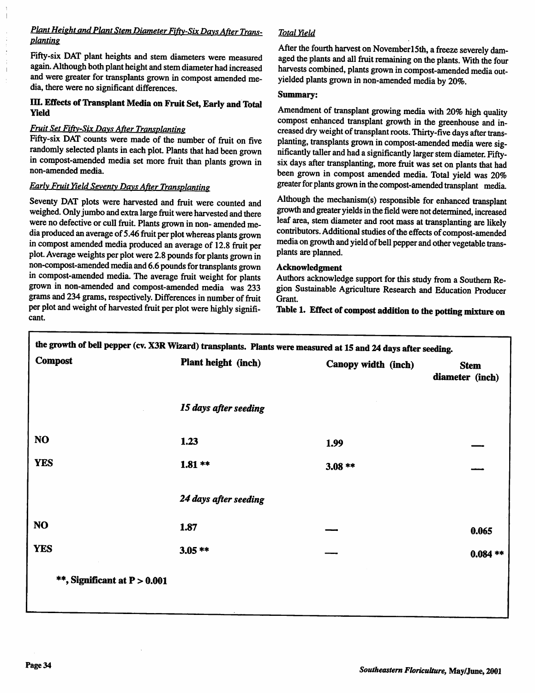#### *Plant* **Height** and Plant Stem Diameter Fifty-Six Days After Trans**planting**

Fifty-six DAT plant heights and stem diameters were measured again. Although both plant height and stem diameter had increased and were greater for transplants grown in compost amended media, there were no significant differences.

#### *III. EffectsofTransplant Media on FruitSet, EarlyandTotal Yield*

#### **Fruit SetFiftv-Six DavsAfter Transplanting**

Fifty-six DAT counts were made of the number of fruit on five randomly selected plants ineach plot. Plants that had been grown in compost-amended media setmore fruit than plants grown in non-amended media.

## **Early Fruit Yield Seventy DavsAfter Transplanting**

Seventy DAT plots were harvested and fruit were counted and weighed. Only jumbo and extra large fruit were harvested and there were no defective or cull fruit. Plants grown in non-amended media produced an average of 5.46 fruit per plot whereas plants grown in compost amended media produced an average of 12.8 fruit per plot. Average weights perplot were 2.8 pounds for plants grown in non-compost-amended media and 6.6 pounds for transplants grown in compost-amended media. The average fruit weight for plants grown in non-amended and compost-amended media was 233 grams and 234 grams, respectively. Differences in number of fruit per plot and weight of harvested fruit per plot were highly significant.

## **Total Yield**

After the fourth harvest on November15th, a freeze severely damaged the plants and all fruit remaining on the plants. With the four harvests combined, plants grown in compost-amended media outyielded plants grown in non-amended media by 20%.

#### *Summary:*

Amendment of transplant growing media with 20% high quality compos<sup>t</sup> enhanced transplant growth in the greenhouse and in creased dry weight of transplant roots. Thirty-five days after transplanting, transplants grown in compost-amended media were significantly taller and had a significantly larger stem diameter. Fiftysix days after transplanting, more fruit was set on plants that had been grown in compos<sup>t</sup> amended media. Total yield was 20% greater for plants grown in the compost-amended transplant media.

Although the mechanism(s) responsible for enhanced transplant growth and greater yields in the field were not determined, increased leaf area, stem diameter and root mass at transplanting are likely contributors. Additional studies of the effects of compost-amended media on growth and yield of bell pepper and other vegetable transplants are planned.

#### *Acknowledgment*

Authors acknowledge support for this study from a Southern Region Sustainable Agriculture Research and Education Producer Grant.

*Table 1. Effectof compos<sup>t</sup> addition to the potting mixture on*

|                                | the growth of bell pepper (cv. X3R Wizard) transplants. Plants were measured at 15 and 24 days after seeding. |                     |                                |
|--------------------------------|---------------------------------------------------------------------------------------------------------------|---------------------|--------------------------------|
| <b>Compost</b>                 | Plant height (inch)                                                                                           | Canopy width (inch) | <b>Stem</b><br>diameter (inch) |
|                                | 15 days after seeding                                                                                         |                     |                                |
| <b>NO</b>                      | 1.23                                                                                                          | 1.99                |                                |
| <b>YES</b>                     | $1.81**$                                                                                                      | $3.08**$            |                                |
|                                | 24 days after seeding                                                                                         |                     |                                |
| <b>NO</b>                      | 1.87                                                                                                          |                     | 0.065                          |
| <b>YES</b>                     | $3.05**$                                                                                                      |                     | $0.084**$                      |
| **, Significant at $P > 0.001$ |                                                                                                               |                     |                                |